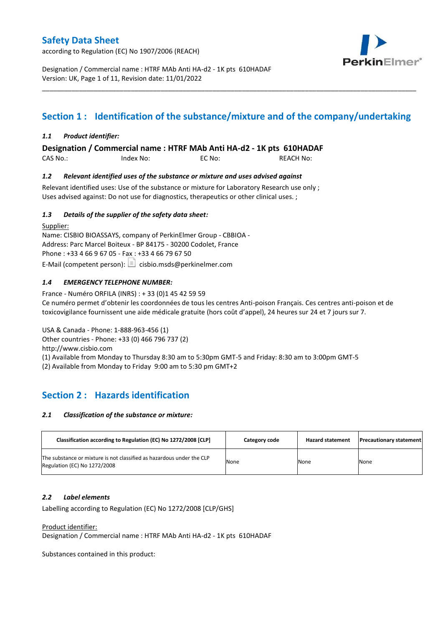according to Regulation (EC) No 1907/2006 (REACH)



Designation / Commercial name : HTRF MAb Anti HA-d2 - 1K pts 610HADAF Version: UK, Page 1 of 11, Revision date: 11/01/2022

# **Section 1 : Identification of the substance/mixture and of the company/undertaking**

\_\_\_\_\_\_\_\_\_\_\_\_\_\_\_\_\_\_\_\_\_\_\_\_\_\_\_\_\_\_\_\_\_\_\_\_\_\_\_\_\_\_\_\_\_\_\_\_\_\_\_\_\_\_\_\_\_\_\_\_\_\_\_\_\_\_\_\_\_\_\_\_\_\_\_\_\_\_\_\_\_\_\_\_\_\_\_\_\_\_\_\_\_\_\_\_\_\_\_\_\_

### *1.1 Product identifier:*

**Designation / Commercial name : HTRF MAb Anti HA-d2 - 1K pts 610HADAF** 

CAS No.: Index No: EC No: REACH No:

### *1.2 Relevant identified uses of the substance or mixture and uses advised against*

Relevant identified uses: Use of the substance or mixture for Laboratory Research use only ; Uses advised against: Do not use for diagnostics, therapeutics or other clinical uses. ;

### *1.3 Details of the supplier of the safety data sheet:*

Supplier: Name: CISBIO BIOASSAYS, company of PerkinElmer Group - CBBIOA - Address: Parc Marcel Boiteux - BP 84175 - 30200 Codolet, France Phone : +33 4 66 9 67 05 - Fax : +33 4 66 79 67 50 E-Mail (competent person):  $\boxed{\equiv}$  cisbio.msds@perkinelmer.com

### *1.4 EMERGENCY TELEPHONE NUMBER:*

France - Numéro ORFILA (INRS) : + 33 (0)1 45 42 59 59 Ce numéro permet d'obtenir les coordonnées de tous les centres Anti-poison Français. Ces centres anti-poison et de toxicovigilance fournissent une aide médicale gratuite (hors coût d'appel), 24 heures sur 24 et 7 jours sur 7.

USA & Canada - Phone: 1-888-963-456 (1) Other countries - Phone: +33 (0) 466 796 737 (2)

http://www.cisbio.com

(1) Available from Monday to Thursday 8:30 am to 5:30pm GMT-5 and Friday: 8:30 am to 3:00pm GMT-5

(2) Available from Monday to Friday 9:00 am to 5:30 pm GMT+2

# **Section 2 : Hazards identification**

### *2.1 Classification of the substance or mixture:*

| Classification according to Regulation (EC) No 1272/2008 [CLP]                                        | Category code | <b>Hazard statement</b> | <b>Precautionary statement</b> |
|-------------------------------------------------------------------------------------------------------|---------------|-------------------------|--------------------------------|
| The substance or mixture is not classified as hazardous under the CLP<br>Regulation (EC) No 1272/2008 | None          | None                    | None                           |

### *2.2 Label elements*

Labelling according to Regulation (EC) No 1272/2008 [CLP/GHS]

Product identifier:

Designation / Commercial name : HTRF MAb Anti HA-d2 - 1K pts 610HADAF

Substances contained in this product: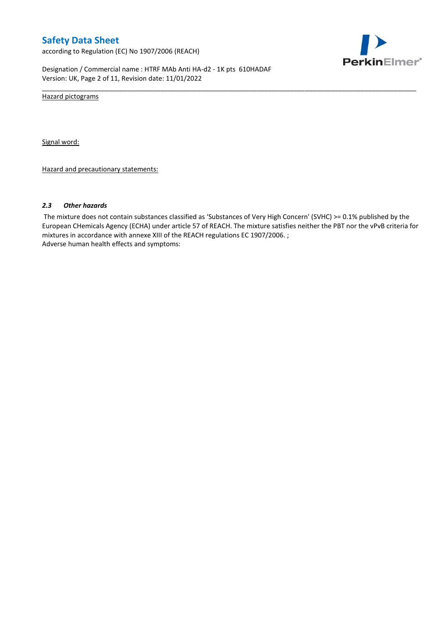according to Regulation (EC) No 1907/2006 (REACH)



Designation / Commercial name : HTRF MAb Anti HA-d2 - 1K pts 610HADAF Version: UK, Page 2 of 11, Revision date: 11/01/2022

Hazard pictograms

Signal word:

Hazard and precautionary statements:

#### *2.3 Other hazards*

The mixture does not contain substances classified as 'Substances of Very High Concern' (SVHC) >= 0.1% published by the European CHemicals Agency (ECHA) under article 57 of REACH. The mixture satisfies neither the PBT nor the vPvB criteria for mixtures in accordance with annexe XIII of the REACH regulations EC 1907/2006. ; Adverse human health effects and symptoms:

\_\_\_\_\_\_\_\_\_\_\_\_\_\_\_\_\_\_\_\_\_\_\_\_\_\_\_\_\_\_\_\_\_\_\_\_\_\_\_\_\_\_\_\_\_\_\_\_\_\_\_\_\_\_\_\_\_\_\_\_\_\_\_\_\_\_\_\_\_\_\_\_\_\_\_\_\_\_\_\_\_\_\_\_\_\_\_\_\_\_\_\_\_\_\_\_\_\_\_\_\_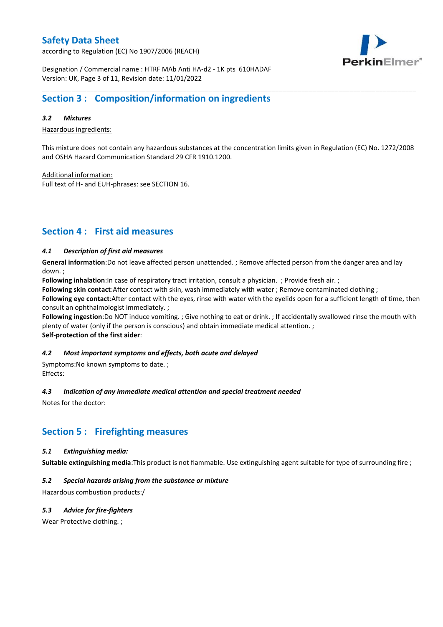according to Regulation (EC) No 1907/2006 (REACH)



Designation / Commercial name : HTRF MAb Anti HA-d2 - 1K pts 610HADAF Version: UK, Page 3 of 11, Revision date: 11/01/2022

# **Section 3 : Composition/information on ingredients**

### *3.2 Mixtures*

Hazardous ingredients:

This mixture does not contain any hazardous substances at the concentration limits given in Regulation (EC) No. 1272/2008 and OSHA Hazard Communication Standard 29 CFR 1910.1200.

\_\_\_\_\_\_\_\_\_\_\_\_\_\_\_\_\_\_\_\_\_\_\_\_\_\_\_\_\_\_\_\_\_\_\_\_\_\_\_\_\_\_\_\_\_\_\_\_\_\_\_\_\_\_\_\_\_\_\_\_\_\_\_\_\_\_\_\_\_\_\_\_\_\_\_\_\_\_\_\_\_\_\_\_\_\_\_\_\_\_\_\_\_\_\_\_\_\_\_\_\_

Additional information:

Full text of H- and EUH-phrases: see SECTION 16.

# **Section 4 : First aid measures**

### *4.1 Description of first aid measures*

**General information**:Do not leave affected person unattended. ; Remove affected person from the danger area and lay down. ;

**Following inhalation**:In case of respiratory tract irritation, consult a physician. ; Provide fresh air. ;

**Following skin contact**:After contact with skin, wash immediately with water ; Remove contaminated clothing ;

**Following eye contact**:After contact with the eyes, rinse with water with the eyelids open for a sufficient length of time, then consult an ophthalmologist immediately. ;

**Following ingestion**:Do NOT induce vomiting. ; Give nothing to eat or drink. ; If accidentally swallowed rinse the mouth with plenty of water (only if the person is conscious) and obtain immediate medical attention. ; **Self-protection of the first aider**:

### *4.2 Most important symptoms and effects, both acute and delayed*

Symptoms:No known symptoms to date. ; Effects:

### *4.3 Indication of any immediate medical attention and special treatment needed*

Notes for the doctor:

### **Section 5 : Firefighting measures**

### *5.1 Extinguishing media:*

**Suitable extinguishing media**:This product is not flammable. Use extinguishing agent suitable for type of surrounding fire ;

### *5.2 Special hazards arising from the substance or mixture*

Hazardous combustion products:/

### *5.3 Advice for fire-fighters*

Wear Protective clothing.;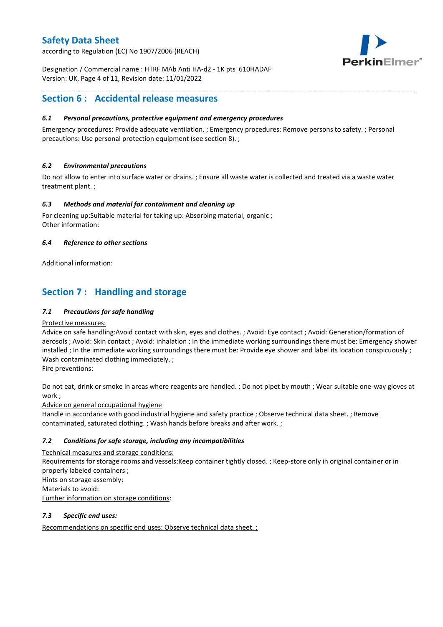according to Regulation (EC) No 1907/2006 (REACH)



Designation / Commercial name : HTRF MAb Anti HA-d2 - 1K pts 610HADAF Version: UK, Page 4 of 11, Revision date: 11/01/2022

# **Section 6 : Accidental release measures**

### *6.1 Personal precautions, protective equipment and emergency procedures*

Emergency procedures: Provide adequate ventilation. ; Emergency procedures: Remove persons to safety. ; Personal precautions: Use personal protection equipment (see section 8). ;

\_\_\_\_\_\_\_\_\_\_\_\_\_\_\_\_\_\_\_\_\_\_\_\_\_\_\_\_\_\_\_\_\_\_\_\_\_\_\_\_\_\_\_\_\_\_\_\_\_\_\_\_\_\_\_\_\_\_\_\_\_\_\_\_\_\_\_\_\_\_\_\_\_\_\_\_\_\_\_\_\_\_\_\_\_\_\_\_\_\_\_\_\_\_\_\_\_\_\_\_\_

### *6.2 Environmental precautions*

Do not allow to enter into surface water or drains. ; Ensure all waste water is collected and treated via a waste water treatment plant. ;

### *6.3 Methods and material for containment and cleaning up*

For cleaning up:Suitable material for taking up: Absorbing material, organic ; Other information:

### *6.4 Reference to other sections*

Additional information:

# **Section 7 : Handling and storage**

### *7.1 Precautions for safe handling*

### Protective measures:

Advice on safe handling:Avoid contact with skin, eyes and clothes. ; Avoid: Eye contact ; Avoid: Generation/formation of aerosols ; Avoid: Skin contact ; Avoid: inhalation ; In the immediate working surroundings there must be: Emergency shower installed ; In the immediate working surroundings there must be: Provide eye shower and label its location conspicuously ; Wash contaminated clothing immediately. ;

Fire preventions:

Do not eat, drink or smoke in areas where reagents are handled. ; Do not pipet by mouth ; Wear suitable one-way gloves at work ;

Advice on general occupational hygiene

Handle in accordance with good industrial hygiene and safety practice ; Observe technical data sheet. ; Remove contaminated, saturated clothing. ; Wash hands before breaks and after work. ;

### *7.2 Conditions for safe storage, including any incompatibilities*

Technical measures and storage conditions: Requirements for storage rooms and vessels:Keep container tightly closed. ; Keep-store only in original container or in properly labeled containers ; Hints on storage assembly: Materials to avoid: Further information on storage conditions:

### *7.3 Specific end uses:*

Recommendations on specific end uses: Observe technical data sheet. ;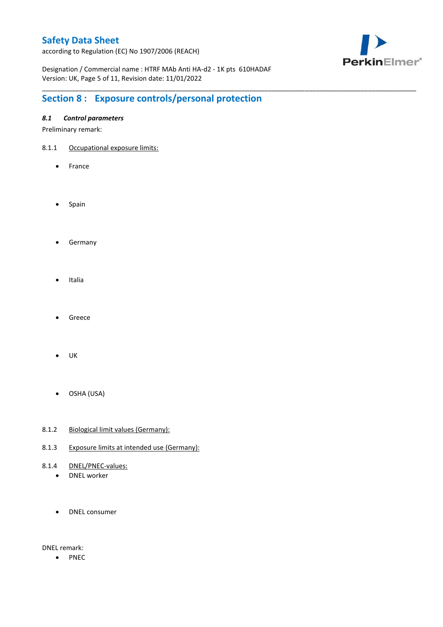according to Regulation (EC) No 1907/2006 (REACH)



Designation / Commercial name : HTRF MAb Anti HA-d2 - 1K pts 610HADAF Version: UK, Page 5 of 11, Revision date: 11/01/2022

\_\_\_\_\_\_\_\_\_\_\_\_\_\_\_\_\_\_\_\_\_\_\_\_\_\_\_\_\_\_\_\_\_\_\_\_\_\_\_\_\_\_\_\_\_\_\_\_\_\_\_\_\_\_\_\_\_\_\_\_\_\_\_\_\_\_\_\_\_\_\_\_\_\_\_\_\_\_\_\_\_\_\_\_\_\_\_\_\_\_\_\_\_\_\_\_\_\_\_\_\_

# **Section 8 : Exposure controls/personal protection**

### *8.1 Control parameters*

Preliminary remark:

- 8.1.1 Occupational exposure limits:
	- France
	- Spain
	- **•** Germany
	- Italia
	- Greece
	- $\bullet$  UK
	- OSHA (USA)
- 8.1.2 Biological limit values (Germany):
- 8.1.3 Exposure limits at intended use (Germany):
- 8.1.4 DNEL/PNEC-values:
	- DNEL worker
	- DNEL consumer

DNEL remark:

• PNEC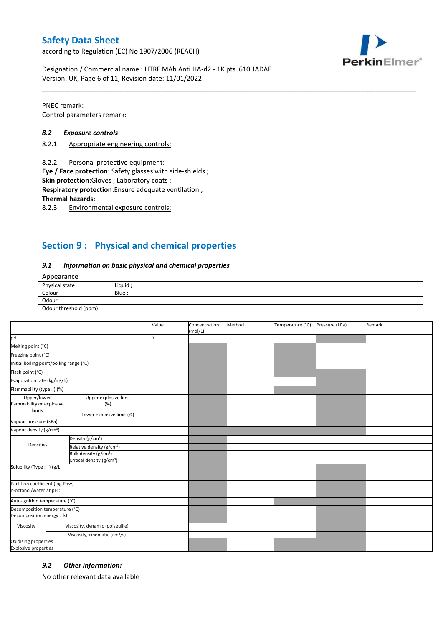according to Regulation (EC) No 1907/2006 (REACH)



Designation / Commercial name : HTRF MAb Anti HA-d2 - 1K pts 610HADAF Version: UK, Page 6 of 11, Revision date: 11/01/2022

PNEC remark: Control parameters remark:

### *8.2 Exposure controls*

- 8.2.1 Appropriate engineering controls:
- 8.2.2 Personal protective equipment:

**Eye / Face protection**: Safety glasses with side-shields ;

**Skin protection**:Gloves ; Laboratory coats ;

**Respiratory protection**:Ensure adequate ventilation ;

**Thermal hazards**:

8.2.3 Environmental exposure controls:

# **Section 9 : Physical and chemical properties**

#### *9.1 Information on basic physical and chemical properties*

### Appearance

| Physical state        | Liquid |
|-----------------------|--------|
| Colour                | Blue   |
| Odour                 |        |
| Odour threshold (ppm) |        |

\_\_\_\_\_\_\_\_\_\_\_\_\_\_\_\_\_\_\_\_\_\_\_\_\_\_\_\_\_\_\_\_\_\_\_\_\_\_\_\_\_\_\_\_\_\_\_\_\_\_\_\_\_\_\_\_\_\_\_\_\_\_\_\_\_\_\_\_\_\_\_\_\_\_\_\_\_\_\_\_\_\_\_\_\_\_\_\_\_\_\_\_\_\_\_\_\_\_\_\_\_

|                                                             |                                           | Value | Concentration<br>(mol/L) | Method | Temperature (°C) | Pressure (kPa) | Remark |
|-------------------------------------------------------------|-------------------------------------------|-------|--------------------------|--------|------------------|----------------|--------|
| pH                                                          |                                           |       |                          |        |                  |                |        |
| Melting point (°C)                                          |                                           |       |                          |        |                  |                |        |
| Freezing point (°C)                                         |                                           |       |                          |        |                  |                |        |
| Initial boiling point/boiling range (°C)                    |                                           |       |                          |        |                  |                |        |
| Flash point (°C)                                            |                                           |       |                          |        |                  |                |        |
| Evaporation rate (kg/m <sup>2</sup> /h)                     |                                           |       |                          |        |                  |                |        |
| Flammability (type: ) (%)                                   |                                           |       |                          |        |                  |                |        |
| Upper/lower<br>flammability or explosive<br>limits          | Upper explosive limit<br>(%)              |       |                          |        |                  |                |        |
|                                                             | Lower explosive limit (%)                 |       |                          |        |                  |                |        |
| Vapour pressure (kPa)                                       |                                           |       |                          |        |                  |                |        |
| Vapour density (g/cm <sup>3</sup> )                         |                                           |       |                          |        |                  |                |        |
| Densities                                                   | Density (g/cm <sup>3</sup> )              |       |                          |        |                  |                |        |
|                                                             | Relative density (g/cm <sup>3</sup> )     |       |                          |        |                  |                |        |
|                                                             | Bulk density (g/cm <sup>3</sup> )         |       |                          |        |                  |                |        |
|                                                             | Critical density (g/cm <sup>3</sup> )     |       |                          |        |                  |                |        |
| Solubility (Type: ) (g/L)                                   |                                           |       |                          |        |                  |                |        |
| Partition coefficient (log Pow)<br>n-octanol/water at pH :  |                                           |       |                          |        |                  |                |        |
| Auto-ignition temperature (°C)                              |                                           |       |                          |        |                  |                |        |
| Decomposition temperature (°C)<br>Decomposition energy : kJ |                                           |       |                          |        |                  |                |        |
| Viscosity                                                   | Viscosity, dynamic (poiseuille)           |       |                          |        |                  |                |        |
|                                                             | Viscosity, cinematic (cm <sup>3</sup> /s) |       |                          |        |                  |                |        |
| Oxidising properties                                        |                                           |       |                          |        |                  |                |        |
| <b>Explosive properties</b>                                 |                                           |       |                          |        |                  |                |        |

### *9.2 Other information:*

No other relevant data available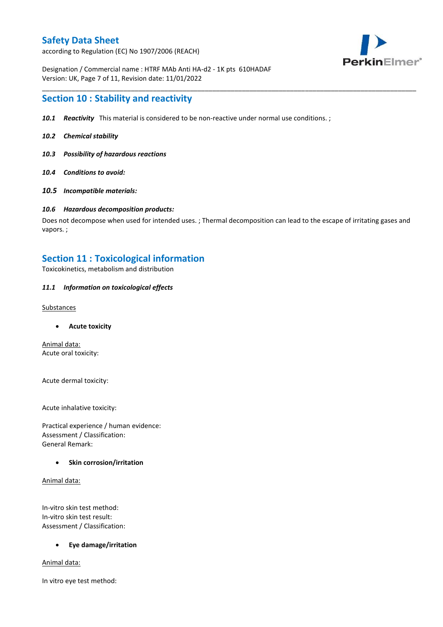according to Regulation (EC) No 1907/2006 (REACH)



Designation / Commercial name : HTRF MAb Anti HA-d2 - 1K pts 610HADAF Version: UK, Page 7 of 11, Revision date: 11/01/2022

### **Section 10 : Stability and reactivity**

- *10.1 Reactivity* This material is considered to be non-reactive under normal use conditions. ;
- *10.2 Chemical stability*
- *10.3 Possibility of hazardous reactions*
- *10.4 Conditions to avoid:*
- *10.5 Incompatible materials:*

#### *10.6 Hazardous decomposition products:*

Does not decompose when used for intended uses. ; Thermal decomposition can lead to the escape of irritating gases and vapors. ;

\_\_\_\_\_\_\_\_\_\_\_\_\_\_\_\_\_\_\_\_\_\_\_\_\_\_\_\_\_\_\_\_\_\_\_\_\_\_\_\_\_\_\_\_\_\_\_\_\_\_\_\_\_\_\_\_\_\_\_\_\_\_\_\_\_\_\_\_\_\_\_\_\_\_\_\_\_\_\_\_\_\_\_\_\_\_\_\_\_\_\_\_\_\_\_\_\_\_\_\_\_

### **Section 11 : Toxicological information**

Toxicokinetics, metabolism and distribution

### *11.1 Information on toxicological effects*

#### **Substances**

**Acute toxicity**

Animal data: Acute oral toxicity:

Acute dermal toxicity:

Acute inhalative toxicity:

Practical experience / human evidence: Assessment / Classification: General Remark:

### **Skin corrosion/irritation**

Animal data:

In-vitro skin test method: In-vitro skin test result: Assessment / Classification:

### **Eye damage/irritation**

Animal data:

In vitro eye test method: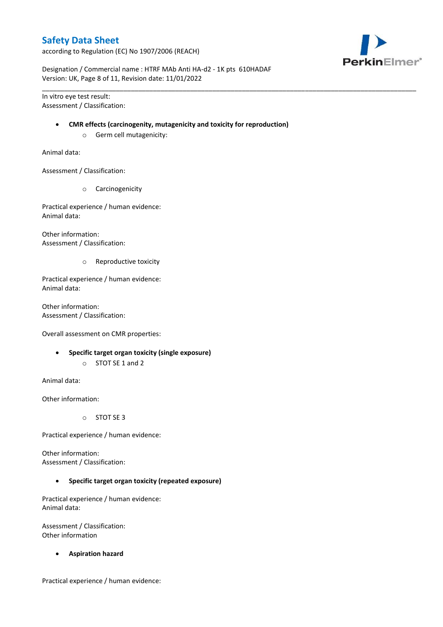according to Regulation (EC) No 1907/2006 (REACH)



Designation / Commercial name : HTRF MAb Anti HA-d2 - 1K pts 610HADAF Version: UK, Page 8 of 11, Revision date: 11/01/2022

In vitro eye test result: Assessment / Classification:

#### **CMR effects (carcinogenity, mutagenicity and toxicity for reproduction)**

\_\_\_\_\_\_\_\_\_\_\_\_\_\_\_\_\_\_\_\_\_\_\_\_\_\_\_\_\_\_\_\_\_\_\_\_\_\_\_\_\_\_\_\_\_\_\_\_\_\_\_\_\_\_\_\_\_\_\_\_\_\_\_\_\_\_\_\_\_\_\_\_\_\_\_\_\_\_\_\_\_\_\_\_\_\_\_\_\_\_\_\_\_\_\_\_\_\_\_\_\_

o Germ cell mutagenicity:

Animal data:

Assessment / Classification:

o Carcinogenicity

Practical experience / human evidence: Animal data:

Other information: Assessment / Classification:

o Reproductive toxicity

Practical experience / human evidence: Animal data:

Other information: Assessment / Classification:

Overall assessment on CMR properties:

- **Specific target organ toxicity (single exposure)**
	- o STOT SE 1 and 2

Animal data:

Other information:

o STOT SE 3

Practical experience / human evidence:

Other information: Assessment / Classification:

**Specific target organ toxicity (repeated exposure)**

Practical experience / human evidence: Animal data:

Assessment / Classification: Other information

**Aspiration hazard**

Practical experience / human evidence: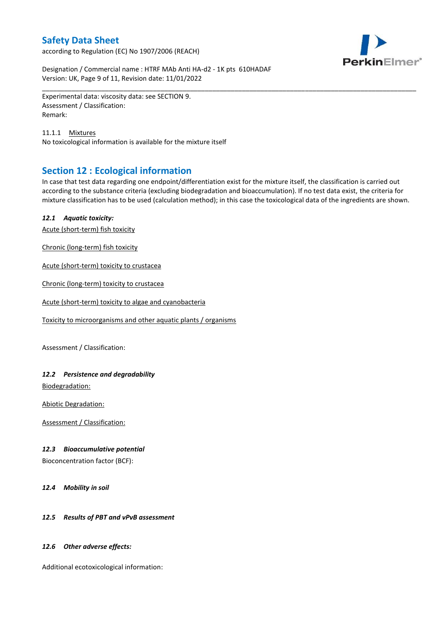according to Regulation (EC) No 1907/2006 (REACH)



Designation / Commercial name : HTRF MAb Anti HA-d2 - 1K pts 610HADAF Version: UK, Page 9 of 11, Revision date: 11/01/2022

Experimental data: viscosity data: see SECTION 9. Assessment / Classification: Remark:

11.1.1 Mixtures No toxicological information is available for the mixture itself

# **Section 12 : Ecological information**

In case that test data regarding one endpoint/differentiation exist for the mixture itself, the classification is carried out according to the substance criteria (excluding biodegradation and bioaccumulation). If no test data exist, the criteria for mixture classification has to be used (calculation method); in this case the toxicological data of the ingredients are shown.

\_\_\_\_\_\_\_\_\_\_\_\_\_\_\_\_\_\_\_\_\_\_\_\_\_\_\_\_\_\_\_\_\_\_\_\_\_\_\_\_\_\_\_\_\_\_\_\_\_\_\_\_\_\_\_\_\_\_\_\_\_\_\_\_\_\_\_\_\_\_\_\_\_\_\_\_\_\_\_\_\_\_\_\_\_\_\_\_\_\_\_\_\_\_\_\_\_\_\_\_\_

### *12.1 Aquatic toxicity:*

Acute (short-term) fish toxicity

Chronic (long-term) fish toxicity

Acute (short-term) toxicity to crustacea

Chronic (long-term) toxicity to crustacea

Acute (short-term) toxicity to algae and cyanobacteria

Toxicity to microorganisms and other aquatic plants / organisms

Assessment / Classification:

### *12.2 Persistence and degradability*

Biodegradation:

Abiotic Degradation:

Assessment / Classification:

### *12.3 Bioaccumulative potential*

Bioconcentration factor (BCF):

*12.4 Mobility in soil*

### *12.5 Results of PBT and vPvB assessment*

### *12.6 Other adverse effects:*

Additional ecotoxicological information: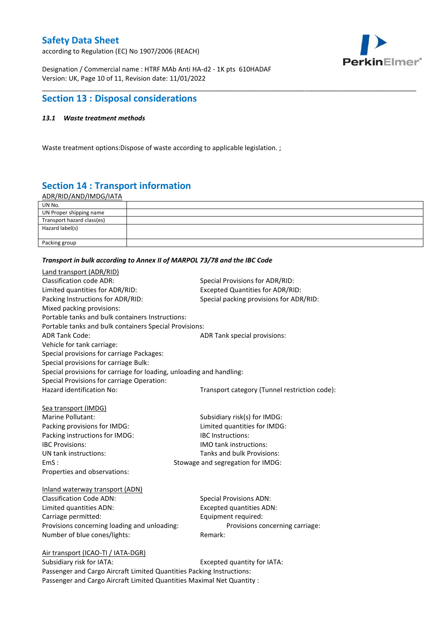according to Regulation (EC) No 1907/2006 (REACH)



Designation / Commercial name : HTRF MAb Anti HA-d2 - 1K pts 610HADAF Version: UK, Page 10 of 11, Revision date: 11/01/2022

## **Section 13 : Disposal considerations**

### *13.1 Waste treatment methods*

Waste treatment options:Dispose of waste according to applicable legislation. ;

# **Section 14 : Transport information**

ADR/RID/AND/IMDG/IATA

| UN No.                     |  |
|----------------------------|--|
| UN Proper shipping name    |  |
| Transport hazard class(es) |  |
| Hazard label(s)            |  |
|                            |  |
| Packing group              |  |

\_\_\_\_\_\_\_\_\_\_\_\_\_\_\_\_\_\_\_\_\_\_\_\_\_\_\_\_\_\_\_\_\_\_\_\_\_\_\_\_\_\_\_\_\_\_\_\_\_\_\_\_\_\_\_\_\_\_\_\_\_\_\_\_\_\_\_\_\_\_\_\_\_\_\_\_\_\_\_\_\_\_\_\_\_\_\_\_\_\_\_\_\_\_\_\_\_\_\_\_\_

#### *Transport in bulk according to Annex II of MARPOL 73/78 and the IBC Code*

| Land transport (ADR/RID)                                                    |                                               |  |
|-----------------------------------------------------------------------------|-----------------------------------------------|--|
| <b>Classification code ADR:</b>                                             | Special Provisions for ADR/RID:               |  |
| Limited quantities for ADR/RID:                                             | Excepted Quantities for ADR/RID:              |  |
| Packing Instructions for ADR/RID:                                           | Special packing provisions for ADR/RID:       |  |
| Mixed packing provisions:                                                   |                                               |  |
| Portable tanks and bulk containers Instructions:                            |                                               |  |
| Portable tanks and bulk containers Special Provisions:                      |                                               |  |
| <b>ADR Tank Code:</b>                                                       | ADR Tank special provisions:                  |  |
| Vehicle for tank carriage:                                                  |                                               |  |
| Special provisions for carriage Packages:                                   |                                               |  |
| Special provisions for carriage Bulk:                                       |                                               |  |
| Special provisions for carriage for loading, unloading and handling:        |                                               |  |
| Special Provisions for carriage Operation:                                  |                                               |  |
| Hazard identification No:                                                   | Transport category (Tunnel restriction code): |  |
|                                                                             |                                               |  |
| Sea transport (IMDG)                                                        |                                               |  |
| Marine Pollutant:                                                           | Subsidiary risk(s) for IMDG:                  |  |
| Packing provisions for IMDG:                                                | Limited quantities for IMDG:                  |  |
| Packing instructions for IMDG:                                              | IBC Instructions:                             |  |
| <b>IBC Provisions:</b>                                                      | <b>IMO</b> tank instructions:                 |  |
| UN tank instructions:                                                       | Tanks and bulk Provisions:                    |  |
| EmS:                                                                        | Stowage and segregation for IMDG:             |  |
| Properties and observations:                                                |                                               |  |
|                                                                             |                                               |  |
| Inland waterway transport (ADN)                                             |                                               |  |
| <b>Classification Code ADN:</b>                                             | <b>Special Provisions ADN:</b>                |  |
| Limited quantities ADN:                                                     | <b>Excepted quantities ADN:</b>               |  |
| Carriage permitted:                                                         | Equipment required:                           |  |
| Provisions concerning loading and unloading:                                | Provisions concerning carriage:               |  |
| Number of blue cones/lights:                                                | Remark:                                       |  |
|                                                                             |                                               |  |
| Air transport (ICAO-TI / IATA-DGR)<br>Subsidiary risk for IATA <sup>.</sup> | Excepted quantity for $IATA$ .                |  |
|                                                                             |                                               |  |

Subsidiary risk for IATA: Subsidiary risk for IATA: Passenger and Cargo Aircraft Limited Quantities Packing Instructions: Passenger and Cargo Aircraft Limited Quantities Maximal Net Quantity :